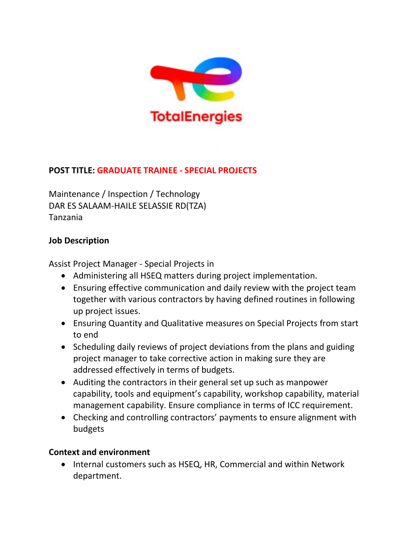

## **POST TITLE: GRADUATE TRAINEE - SPECIAL PROJECTS**

Maintenance / Inspection / Technology DAR ES SALAAM-HAILE SELASSIE RD(TZA) Tanzania

### **Job Description**

Assist Project Manager - Special Projects in

- Administering all HSEQ matters during project implementation.
- Ensuring effective communication and daily review with the project team together with various contractors by having defined routines in following up project issues.
- Ensuring Quantity and Qualitative measures on Special Projects from start to end
- Scheduling daily reviews of project deviations from the plans and guiding project manager to take corrective action in making sure they are addressed effectively in terms of budgets.
- Auditing the contractors in their general set up such as manpower capability, tools and equipment's capability, workshop capability, material management capability. Ensure compliance in terms of ICC requirement.
- Checking and controlling contractors' payments to ensure alignment with budgets

#### **Context and environment**

• Internal customers such as HSEQ, HR, Commercial and within Network department.